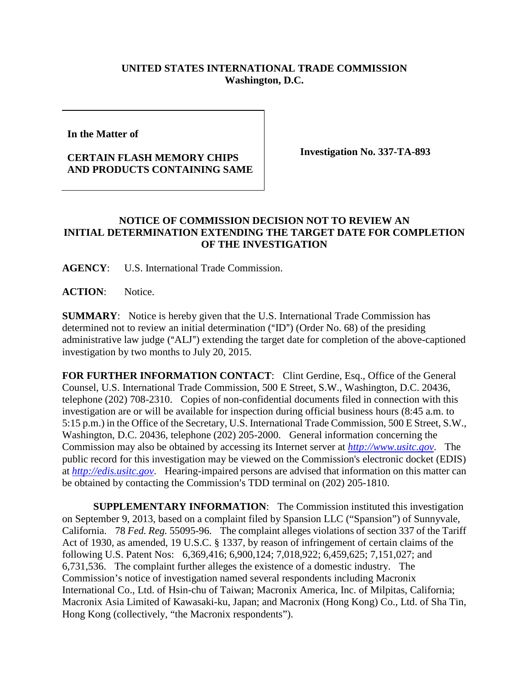## **UNITED STATES INTERNATIONAL TRADE COMMISSION Washington, D.C.**

**In the Matter of** 

## **CERTAIN FLASH MEMORY CHIPS AND PRODUCTS CONTAINING SAME**

**Investigation No. 337-TA-893** 

## **NOTICE OF COMMISSION DECISION NOT TO REVIEW AN INITIAL DETERMINATION EXTENDING THE TARGET DATE FOR COMPLETION OF THE INVESTIGATION**

**AGENCY**: U.S. International Trade Commission.

**ACTION**: Notice.

**SUMMARY**: Notice is hereby given that the U.S. International Trade Commission has determined not to review an initial determination  $("ID")$  (Order No. 68) of the presiding administrative law judge ("ALJ") extending the target date for completion of the above-captioned investigation by two months to July 20, 2015.

**FOR FURTHER INFORMATION CONTACT**: Clint Gerdine, Esq., Office of the General Counsel, U.S. International Trade Commission, 500 E Street, S.W., Washington, D.C. 20436, telephone (202) 708-2310. Copies of non-confidential documents filed in connection with this investigation are or will be available for inspection during official business hours (8:45 a.m. to 5:15 p.m.) in the Office of the Secretary, U.S. International Trade Commission, 500 E Street, S.W., Washington, D.C. 20436, telephone (202) 205-2000. General information concerning the Commission may also be obtained by accessing its Internet server at *[http://www.usitc.gov](http://www.usitc.gov/)*. The public record for this investigation may be viewed on the Commission's electronic docket (EDIS) at *[http://edis.usitc.gov](http://edis.usitc.gov/)*. Hearing-impaired persons are advised that information on this matter can be obtained by contacting the Commission's TDD terminal on (202) 205-1810.

**SUPPLEMENTARY INFORMATION**: The Commission instituted this investigation on September 9, 2013, based on a complaint filed by Spansion LLC ("Spansion") of Sunnyvale, California. 78 *Fed. Reg.* 55095-96. The complaint alleges violations of section 337 of the Tariff Act of 1930, as amended, 19 U.S.C. § 1337, by reason of infringement of certain claims of the following U.S. Patent Nos: 6,369,416; 6,900,124; 7,018,922; 6,459,625; 7,151,027; and 6,731,536. The complaint further alleges the existence of a domestic industry. The Commission's notice of investigation named several respondents including Macronix International Co., Ltd. of Hsin-chu of Taiwan; Macronix America, Inc. of Milpitas, California; Macronix Asia Limited of Kawasaki-ku, Japan; and Macronix (Hong Kong) Co., Ltd. of Sha Tin, Hong Kong (collectively, "the Macronix respondents").